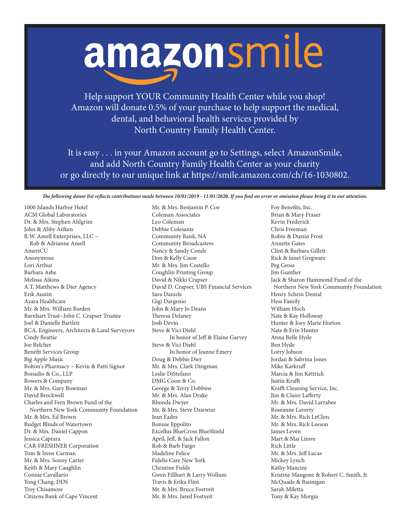## amazonsmile

Help support YOUR Community Health Center while you shop! Amazon will donate 0.5% of your purchase to help support the medical, dental, and behavioral health services provided by North Country Family Health Center.

It is easy . . . in your Amazon account go to Settings, select AmazonSmile, and add North Country Family Health Center as your charity or go directly to our unique link at https://smile.amazon.com/ch/16-1030802.

*The following donor list reflects contributions made between 10/01/2019 - 11/01/2020. If you find an error or omission please bring it to our attention.*

1000 Islands Harbor Hotel ACM Global Laboratories Dr. & Mrs. Stephen Ahlgrim John & Abby Aitken R.W. Amell Enterprises, LLC ~ Rob & Adrianne Amell AmeriCU Anonymous Lori Arthur Barbara Ashe Melissa Atkins A.T. Matthews & Dier Agency Erik Austin Azara Healthcare Mr. & Mrs. William Barden Barnhart Trust~John C. Crapser Trustee Joel & Danielle Bartlett BCA, Engineers, Architects & Land Surveyors Cindy Beattie Joe Belcher Benefit Services Group Big Apple Music Bolton's Pharmacy ~ Kevin & Patti Signor Bonadio & Co., LLP Bowers & Company Mr. & Mrs. Gary Bowman David Brockwell Charles and Fern Brown Fund of the Northern New York Community Foundation Mr. & Mrs. Ed Brown Budget Blinds of Watertown Dr. & Mrs. Daniel Cappon Jessica Caprara CAR-FRESHNER Corporation Tom & Irene Carman Mr. & Mrs. Sonny Carter Keith & Mary Caughlin Connie Cavallario Yong Chang, DDS Troy Chisamore Citizens Bank of Cape Vincent

Mr. & Mrs. Benjamin P. Coe Coleman Associates Leo Coleman Debbie Colesante Community Bank, NA Community Broadcasters Nancy & Sandy Conde Don & Kelly Coon Mr. & Mrs. Jim Costello Coughlin Printing Group David & Nikki Crapser David D. Crapser, UBS Financial Services Sara Daniels Gigi Dargenio John & Mary Jo Deans Theresa Delaney Josh Devin Steve & Vici Diehl In honor of Jeff & Elaine Garvey Steve & Vici Diehl In honor of Jeanne Emery Doug & Debbie Dier Mr. & Mrs. Clark Dingman Leslie DiStefano DMG Coon & Co. George & Terry Dobbins Mr. & Mrs. Alan Drake Rhonda Dwyer Mr. & Mrs. Steve Dziewisz Jean Eades Bonnie Eppolito Excellus BlueCross BlueShield April, Jeff, & Jack Fallon Rob & Barb Fargo Madeline Felice Fidelis Care New York Christine Fields Gwen Fillhart & Larry Wollum Travis & Erika Flint Mr. & Mrs. Bruce Fostveit Mr. & Mrs. Jared Fostveit

Foy Benefits, Inc. Brian & Mary Fraser Kevin Frederick Chris Freeman Robin & Dustin Frost Annette Gates Clint & Barbara Gillett Rick & Janet Gregware Peg Gross Jim Gunther Jack & Sharon Hammond Fund of the Northern New York Community Foundation Henry Schein Dental Hess Family William Hoch Nate & Kay Holloway Hunter & Joey Marie Horton Nate & Erin Hunter Anna Belle Hyde Ben Hyde Lorry Jobson Jordan & Sabrina Jones Mike Karkruff Marcia & Jim Kettrick Justin Krafft Krafft Cleaning Service, Inc. Jim & Claire Lafferty Mr. & Mrs. David Larrabee Roseanne Laverty Mr. & Mrs. Rich LeClerc Mr. & Mrs. Rick Leeson James Leven Mart & Mai Liinve Rich Little Mr. & Mrs. Jeff Lucas Mickey Lynch Kathy Mancini Kristine Mangone & Robert C. Smith, Jr. McQuade & Bannigan Sarah Miletta Tony & Kay Morgia